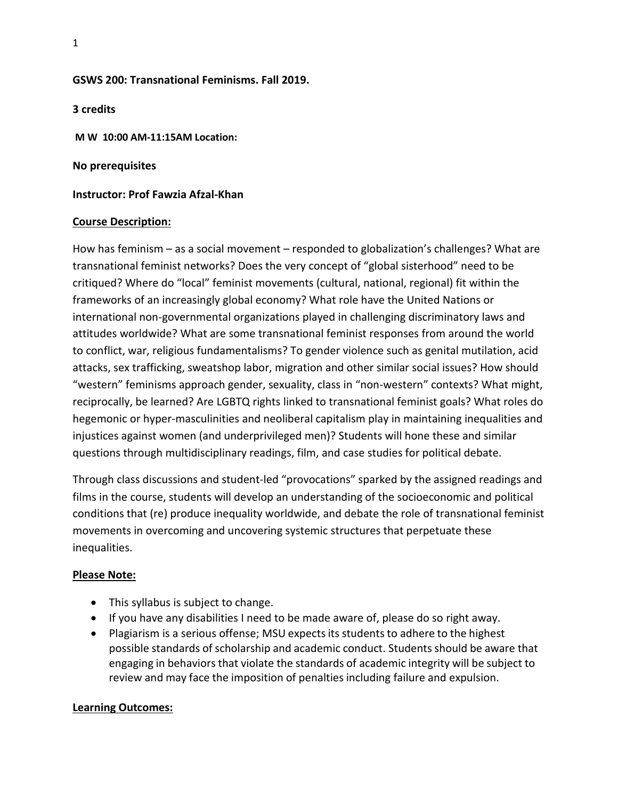## **GSWS 200: Transnational Feminisms. Fall 2019.**

**3 credits M W 10:00 AM-11:15AM Location:** 

**No prerequisites**

**Instructor: Prof Fawzia Afzal-Khan**

#### **Course Description:**

How has feminism – as a social movement – responded to globalization's challenges? What are transnational feminist networks? Does the very concept of "global sisterhood" need to be critiqued? Where do "local" feminist movements (cultural, national, regional) fit within the frameworks of an increasingly global economy? What role have the United Nations or international non-governmental organizations played in challenging discriminatory laws and attitudes worldwide? What are some transnational feminist responses from around the world to conflict, war, religious fundamentalisms? To gender violence such as genital mutilation, acid attacks, sex trafficking, sweatshop labor, migration and other similar social issues? How should "western" feminisms approach gender, sexuality, class in "non-western" contexts? What might, reciprocally, be learned? Are LGBTQ rights linked to transnational feminist goals? What roles do hegemonic or hyper-masculinities and neoliberal capitalism play in maintaining inequalities and injustices against women (and underprivileged men)? Students will hone these and similar questions through multidisciplinary readings, film, and case studies for political debate.

Through class discussions and student-led "provocations" sparked by the assigned readings and films in the course, students will develop an understanding of the socioeconomic and political conditions that (re) produce inequality worldwide, and debate the role of transnational feminist movements in overcoming and uncovering systemic structures that perpetuate these inequalities.

### **Please Note:**

- This syllabus is subject to change.
- If you have any disabilities I need to be made aware of, please do so right away.
- Plagiarism is a serious offense; MSU expects its students to adhere to the highest possible standards of scholarship and academic conduct. Students should be aware that engaging in behaviorsthat violate the standards of academic integrity will be subject to review and may face the imposition of penalties including failure and expulsion.

### **Learning Outcomes:**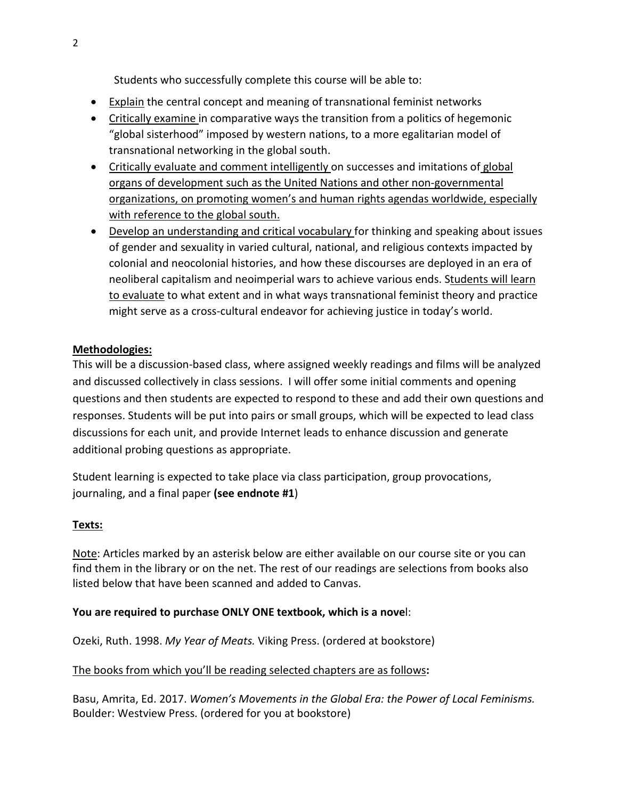Students who successfully complete this course will be able to:

- Explain the central concept and meaning of transnational feminist networks
- Critically examine in comparative ways the transition from a politics of hegemonic "global sisterhood" imposed by western nations, to a more egalitarian model of transnational networking in the global south.
- Critically evaluate and comment intelligently on successes and imitations of global organs of development such as the United Nations and other non-governmental organizations, on promoting women's and human rights agendas worldwide, especially with reference to the global south.
- Develop an understanding and critical vocabulary for thinking and speaking about issues of gender and sexuality in varied cultural, national, and religious contexts impacted by colonial and neocolonial histories, and how these discourses are deployed in an era of neoliberal capitalism and neoimperial wars to achieve various ends. Students will learn to evaluate to what extent and in what ways transnational feminist theory and practice might serve as a cross-cultural endeavor for achieving justice in today's world.

## **Methodologies:**

This will be a discussion-based class, where assigned weekly readings and films will be analyzed and discussed collectively in class sessions. I will offer some initial comments and opening questions and then students are expected to respond to these and add their own questions and responses. Students will be put into pairs or small groups, which will be expected to lead class discussions for each unit, and provide Internet leads to enhance discussion and generate additional probing questions as appropriate.

Student learning is expected to take place via class participation, group provocations, journaling, and a final paper **(see endnote #1**)

### **Texts:**

Note: Articles marked by an asterisk below are either available on our course site or you can find them in the library or on the net. The rest of our readings are selections from books also listed below that have been scanned and added to Canvas.

### **You are required to purchase ONLY ONE textbook, which is a nove**l:

Ozeki, Ruth. 1998. *My Year of Meats.* Viking Press. (ordered at bookstore)

### The books from which you'll be reading selected chapters are as follows**:**

Basu, Amrita, Ed. 2017. *Women's Movements in the Global Era: the Power of Local Feminisms.*  Boulder: Westview Press. (ordered for you at bookstore)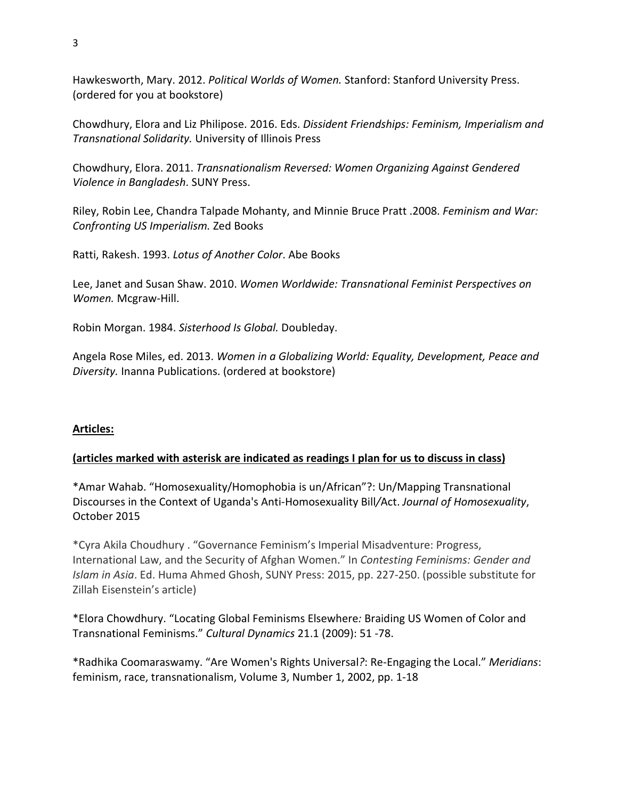Hawkesworth, Mary. 2012. *Political Worlds of Women.* Stanford: Stanford University Press. (ordered for you at bookstore)

Chowdhury, Elora and Liz Philipose. 2016. Eds. *Dissident Friendships: Feminism, Imperialism and Transnational Solidarity.* University of Illinois Press

Chowdhury, Elora. 2011. *Transnationalism Reversed: Women Organizing Against Gendered Violence in Bangladesh*. SUNY Press.

Riley, Robin Lee, Chandra Talpade Mohanty, and Minnie Bruce Pratt .2008. *Feminism and War: Confronting US Imperialism.* Zed Books

Ratti, Rakesh. 1993. *Lotus of Another Color*. Abe Books

Lee, Janet and Susan Shaw. 2010. *Women Worldwide: Transnational Feminist Perspectives on Women.* Mcgraw-Hill.

Robin Morgan. 1984. *Sisterhood Is Global.* Doubleday.

Angela Rose Miles, ed. 2013. *Women in a Globalizing World: Equality, Development, Peace and Diversity.* Inanna Publications. (ordered at bookstore)

## **Articles:**

## **(articles marked with asterisk are indicated as readings I plan for us to discuss in class)**

\*Amar Wahab. "Homosexuality/Homophobia is un/African"?: Un/Mapping Transnational Discourses in the Context of Uganda's Anti*-*Homosexuality Bill*/*Act. *Journal of Homosexuality*, October 2015

\*Cyra Akila Choudhury . "Governance Feminism's Imperial Misadventure: Progress, International Law, and the Security of Afghan Women." In *Contesting Feminisms: Gender and Islam in Asia*. Ed. Huma Ahmed Ghosh, SUNY Press: 2015, pp. 227-250. (possible substitute for Zillah Eisenstein's article)

\*Elora Chowdhury. "Locating Global Feminisms Elsewhere*:* Braiding US Women of Color and Transnational Feminisms." *Cultural Dynamics* 21.1 (2009): 51 -78.

\*Radhika Coomaraswamy. "Are Women's Rights Universal*?*: Re-Engaging the Local." *Meridians*: feminism, race, transnationalism, Volume 3, Number 1, 2002, pp. 1-18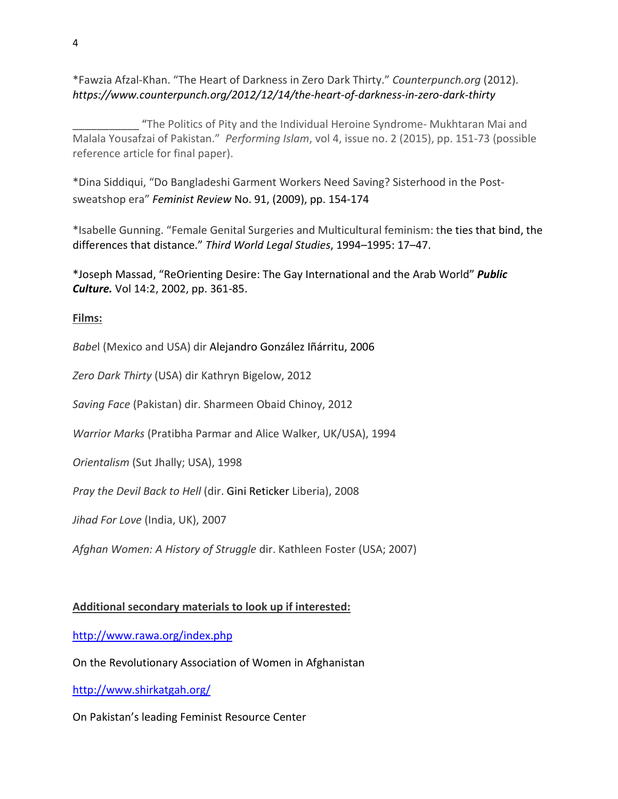\*Fawzia Afzal-Khan. "The Heart of Darkness in Zero Dark Thirty." *Counterpunch.org* (2012). *https://www.counterpunch.org/2012/12/14/the-heart-of-darkness-in-zero-dark-thirty*

\_\_\_\_\_\_\_\_\_\_\_ "The Politics of Pity and the Individual Heroine Syndrome- Mukhtaran Mai and Malala Yousafzai of Pakistan." *Performing Islam*, vol 4, issue no. 2 (2015), pp. 151-73 (possible reference article for final paper).

\*Dina Siddiqui, "Do Bangladeshi Garment Workers Need Saving? Sisterhood in the Postsweatshop era" *Feminist Review* No. 91, (2009), pp. 154-174

\*Isabelle Gunning. "Female Genital Surgeries and Multicultural feminism: the ties that bind, the differences that distance." *Third World Legal Studies*, 1994–1995: 17–47.

\*Joseph Massad, "ReOrienting Desire: The Gay International and the Arab World" *Public Culture.* Vol 14:2, 2002, pp. 361-85.

**Films:**

*Babe*l (Mexico and USA) dir Alejandro González Iñárritu, 2006

*Zero Dark Thirty* (USA) dir Kathryn Bigelow, 2012

*Saving Face* (Pakistan) dir. Sharmeen Obaid Chinoy, 2012

*Warrior Marks* (Pratibha Parmar and Alice Walker, UK/USA), 1994

*Orientalism* (Sut Jhally; USA), 1998

*Pray the Devil Back to Hell* (dir. Gini Reticker Liberia), 2008

*Jihad For Love* (India, UK), 2007

*Afghan Women: A History of Struggle* dir. Kathleen Foster (USA; 2007)

### **Additional secondary materials to look up if interested:**

<http://www.rawa.org/index.php>

On the Revolutionary Association of Women in Afghanistan

<http://www.shirkatgah.org/>

On Pakistan's leading Feminist Resource Center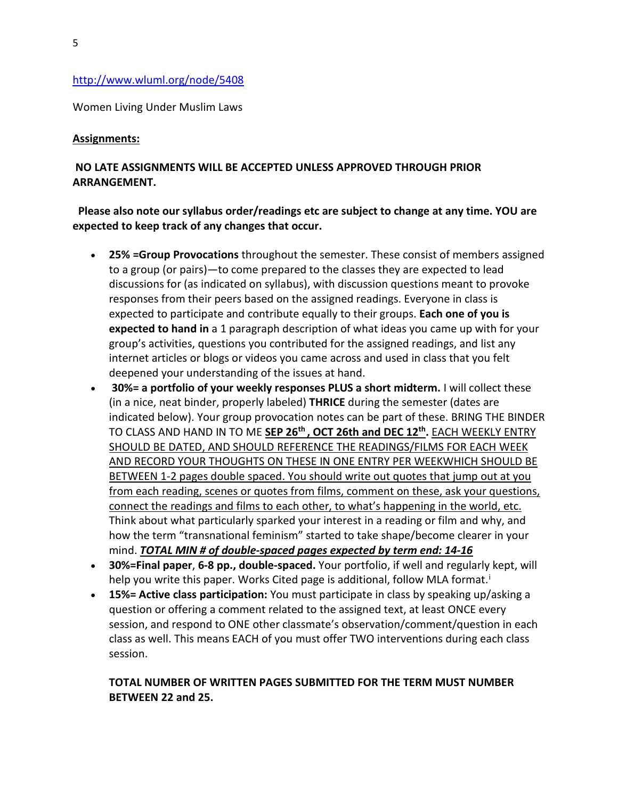#### <http://www.wluml.org/node/5408>

Women Living Under Muslim Laws

#### **Assignments:**

## **NO LATE ASSIGNMENTS WILL BE ACCEPTED UNLESS APPROVED THROUGH PRIOR ARRANGEMENT.**

## **Please also note our syllabus order/readings etc are subject to change at any time. YOU are expected to keep track of any changes that occur.**

- **25% =Group Provocations** throughout the semester. These consist of members assigned to a group (or pairs)—to come prepared to the classes they are expected to lead discussions for (as indicated on syllabus), with discussion questions meant to provoke responses from their peers based on the assigned readings. Everyone in class is expected to participate and contribute equally to their groups. **Each one of you is expected to hand in** a 1 paragraph description of what ideas you came up with for your group's activities, questions you contributed for the assigned readings, and list any internet articles or blogs or videos you came across and used in class that you felt deepened your understanding of the issues at hand.
- **30%= a portfolio of your weekly responses PLUS a short midterm.** I will collect these (in a nice, neat binder, properly labeled) **THRICE** during the semester (dates are indicated below). Your group provocation notes can be part of these. BRING THE BINDER TO CLASS AND HAND IN TO ME **SEP 26th , OCT 26th and DEC 12th.** EACH WEEKLY ENTRY SHOULD BE DATED, AND SHOULD REFERENCE THE READINGS/FILMS FOR EACH WEEK AND RECORD YOUR THOUGHTS ON THESE IN ONE ENTRY PER WEEKWHICH SHOULD BE BETWEEN 1-2 pages double spaced. You should write out quotes that jump out at you from each reading, scenes or quotes from films, comment on these, ask your questions, connect the readings and films to each other, to what's happening in the world, etc. Think about what particularly sparked your interest in a reading or film and why, and how the term "transnational feminism" started to take shape/become clearer in your mind. *TOTAL MIN # of double-spaced pages expected by term end: 14-16*
- **30%=Final paper**, **6-8 pp., double-spaced.** Your portfolio, if well and regularly kept, will help you wr[i](#page-5-0)te this paper. Works Cited page is additional, follow MLA format.<sup>i</sup>
- **15%= Active class participation:** You must participate in class by speaking up/asking a question or offering a comment related to the assigned text, at least ONCE every session, and respond to ONE other classmate's observation/comment/question in each class as well. This means EACH of you must offer TWO interventions during each class session.

## **TOTAL NUMBER OF WRITTEN PAGES SUBMITTED FOR THE TERM MUST NUMBER BETWEEN 22 and 25.**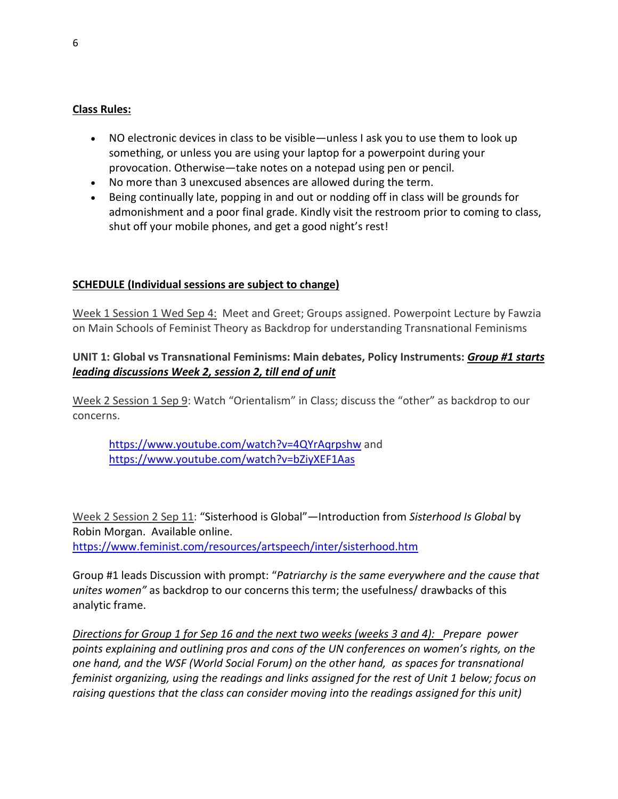## <span id="page-5-0"></span>**Class Rules:**

- NO electronic devices in class to be visible—unless I ask you to use them to look up something, or unless you are using your laptop for a powerpoint during your provocation. Otherwise—take notes on a notepad using pen or pencil.
- No more than 3 unexcused absences are allowed during the term.
- Being continually late, popping in and out or nodding off in class will be grounds for admonishment and a poor final grade. Kindly visit the restroom prior to coming to class, shut off your mobile phones, and get a good night's rest!

### **SCHEDULE (Individual sessions are subject to change)**

Week 1 Session 1 Wed Sep 4: Meet and Greet; Groups assigned. Powerpoint Lecture by Fawzia on Main Schools of Feminist Theory as Backdrop for understanding Transnational Feminisms

## **UNIT 1: Global vs Transnational Feminisms: Main debates, Policy Instruments:** *Group #1 starts leading discussions Week 2, session 2, till end of unit*

Week 2 Session 1 Sep 9: Watch "Orientalism" in Class; discuss the "other" as backdrop to our concerns.

<https://www.youtube.com/watch?v=4QYrAqrpshw> and <https://www.youtube.com/watch?v=bZiyXEF1Aas>

Week 2 Session 2 Sep 11: "Sisterhood is Global"—Introduction from *Sisterhood Is Global* by Robin Morgan. Available online. <https://www.feminist.com/resources/artspeech/inter/sisterhood.htm>

Group #1 leads Discussion with prompt: "*Patriarchy is the same everywhere and the cause that unites women"* as backdrop to our concerns this term; the usefulness/ drawbacks of this analytic frame.

*Directions for Group 1 for Sep 16 and the next two weeks (weeks 3 and 4): Prepare power points explaining and outlining pros and cons of the UN conferences on women's rights, on the one hand, and the WSF (World Social Forum) on the other hand, as spaces for transnational feminist organizing, using the readings and links assigned for the rest of Unit 1 below; focus on raising questions that the class can consider moving into the readings assigned for this unit)*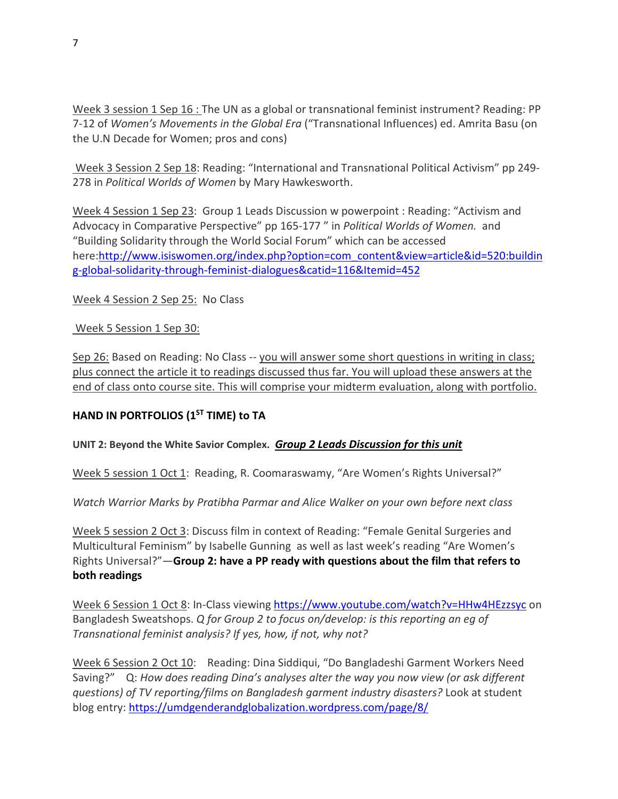Week 3 session 1 Sep 16 : The UN as a global or transnational feminist instrument? Reading: PP 7-12 of *Women's Movements in the Global Era* ("Transnational Influences) ed. Amrita Basu (on the U.N Decade for Women; pros and cons)

Week 3 Session 2 Sep 18: Reading: "International and Transnational Political Activism" pp 249- 278 in *Political Worlds of Women* by Mary Hawkesworth.

Week 4 Session 1 Sep 23: Group 1 Leads Discussion w powerpoint : Reading: "Activism and Advocacy in Comparative Perspective" pp 165-177 " in *Political Worlds of Women.* and "Building Solidarity through the World Social Forum" which can be accessed here[:http://www.isiswomen.org/index.php?option=com\\_content&view=article&id=520:buildin](http://www.isiswomen.org/index.php?option=com_content&view=article&id=520:building-global-solidarity-through-feminist-dialogues&catid=116&Itemid=452) [g-global-solidarity-through-feminist-dialogues&catid=116&Itemid=452](http://www.isiswomen.org/index.php?option=com_content&view=article&id=520:building-global-solidarity-through-feminist-dialogues&catid=116&Itemid=452)

Week 4 Session 2 Sep 25: No Class

Week 5 Session 1 Sep 30:

Sep 26: Based on Reading: No Class -- you will answer some short questions in writing in class; plus connect the article it to readings discussed thus far. You will upload these answers at the end of class onto course site. This will comprise your midterm evaluation, along with portfolio.

## **HAND IN PORTFOLIOS (1ST TIME) to TA**

## **UNIT 2: Beyond the White Savior Complex.** *Group 2 Leads Discussion for this unit*

Week 5 session 1 Oct 1: Reading, R. Coomaraswamy, "Are Women's Rights Universal?"

*Watch Warrior Marks by Pratibha Parmar and Alice Walker on your own before next class*

Week 5 session 2 Oct 3: Discuss film in context of Reading: "Female Genital Surgeries and Multicultural Feminism" by Isabelle Gunning as well as last week's reading "Are Women's Rights Universal?"—**Group 2: have a PP ready with questions about the film that refers to both readings**

Week 6 Session 1 Oct 8: In-Class viewing<https://www.youtube.com/watch?v=HHw4HEzzsyc> on Bangladesh Sweatshops. *Q for Group 2 to focus on/develop: is this reporting an eg of Transnational feminist analysis? If yes, how, if not, why not?* 

Week 6 Session 2 Oct 10: Reading: Dina Siddiqui, "Do Bangladeshi Garment Workers Need Saving?" Q: *How does reading Dina's analyses alter the way you now view (or ask different questions) of TV reporting/films on Bangladesh garment industry disasters?* Look at student blog entry[: https://umdgenderandglobalization.wordpress.com/page/8/](https://umdgenderandglobalization.wordpress.com/page/8/)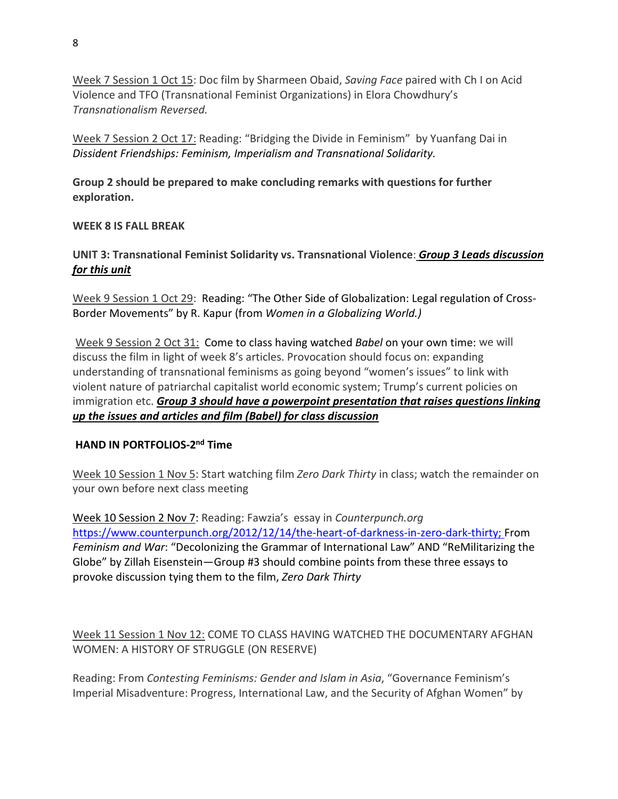Week 7 Session 1 Oct 15: Doc film by Sharmeen Obaid, *Saving Face* paired with Ch I on Acid Violence and TFO (Transnational Feminist Organizations) in Elora Chowdhury's *Transnationalism Reversed.* 

Week 7 Session 2 Oct 17: Reading: "Bridging the Divide in Feminism" by Yuanfang Dai in *Dissident Friendships: Feminism, Imperialism and Transnational Solidarity.*

**Group 2 should be prepared to make concluding remarks with questions for further exploration.**

## **WEEK 8 IS FALL BREAK**

**UNIT 3: Transnational Feminist Solidarity vs. Transnational Violence**: *Group 3 Leads discussion for this unit*

Week 9 Session 1 Oct 29: Reading: "The Other Side of Globalization: Legal regulation of Cross-Border Movements" by R. Kapur (from *Women in a Globalizing World.)*

Week 9 Session 2 Oct 31: Come to class having watched *Babel* on your own time: we will discuss the film in light of week 8's articles. Provocation should focus on: expanding understanding of transnational feminisms as going beyond "women's issues" to link with violent nature of patriarchal capitalist world economic system; Trump's current policies on immigration etc. *Group 3 should have a powerpoint presentation that raises questions linking up the issues and articles and film (Babel) for class discussion*

### **HAND IN PORTFOLIOS-2nd Time**

Week 10 Session 1 Nov 5: Start watching film *Zero Dark Thirty* in class; watch the remainder on your own before next class meeting

Week 10 Session 2 Nov 7: Reading: Fawzia's essay in *Counterpunch.org* [https://www.counterpunch.org/2012/12/14/the-heart-of-darkness-in-zero-dark-thirty;](https://www.counterpunch.org/2012/12/14/the-heart-of-darkness-in-zero-dark-thirty) From *Feminism and War*: "Decolonizing the Grammar of International Law" AND "ReMilitarizing the Globe" by Zillah Eisenstein—Group #3 should combine points from these three essays to provoke discussion tying them to the film, *Zero Dark Thirty*

Week 11 Session 1 Nov 12: COME TO CLASS HAVING WATCHED THE DOCUMENTARY AFGHAN WOMEN: A HISTORY OF STRUGGLE (ON RESERVE)

Reading: From *Contesting Feminisms: Gender and Islam in Asia*, "Governance Feminism's Imperial Misadventure: Progress, International Law, and the Security of Afghan Women" by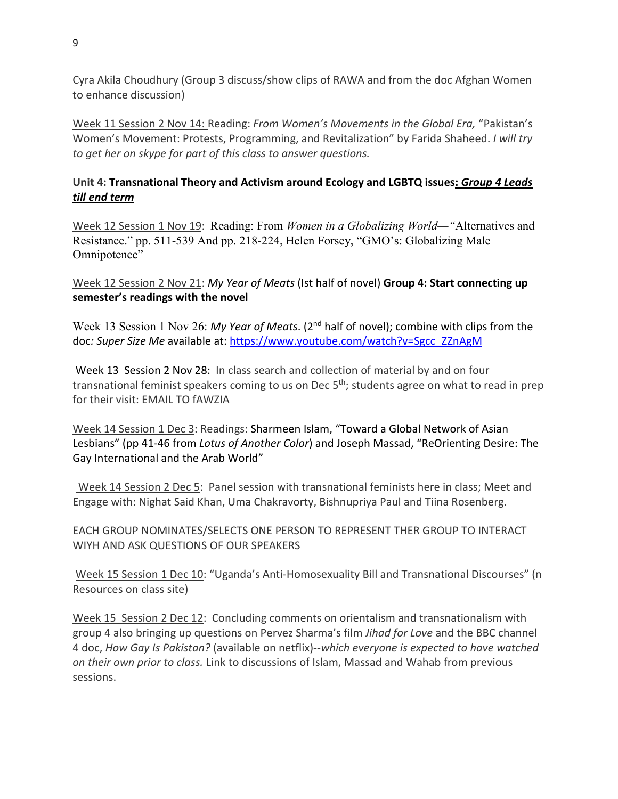Cyra Akila Choudhury (Group 3 discuss/show clips of RAWA and from the doc Afghan Women to enhance discussion)

Week 11 Session 2 Nov 14: Reading: *From Women's Movements in the Global Era,* "Pakistan's Women's Movement: Protests, Programming, and Revitalization" by Farida Shaheed. *I will try to get her on skype for part of this class to answer questions.* 

# **Unit 4: Transnational Theory and Activism around Ecology and LGBTQ issues:** *Group 4 Leads till end term*

Week 12 Session 1 Nov 19: Reading: From *Women in a Globalizing World—"*Alternatives and Resistance." pp. 511-539 And pp. 218-224, Helen Forsey, "GMO's: Globalizing Male Omnipotence"

Week 12 Session 2 Nov 21: *My Year of Meats* (Ist half of novel) **Group 4: Start connecting up semester's readings with the novel**

Week 13 Session 1 Nov 26: *My Year of Meats*. (2nd half of novel); combine with clips from the doc*: Super Size Me* available at: [https://www.youtube.com/watch?v=Sgcc\\_ZZnAgM](https://www.youtube.com/watch?v=Sgcc_ZZnAgM)

Week 13 Session 2 Nov 28: In class search and collection of material by and on four transnational feminist speakers coming to us on Dec  $5<sup>th</sup>$ ; students agree on what to read in prep for their visit: EMAIL TO fAWZIA

Week 14 Session 1 Dec 3: Readings: Sharmeen Islam, "Toward a Global Network of Asian Lesbians" (pp 41-46 from *Lotus of Another Color*) and Joseph Massad, "ReOrienting Desire: The Gay International and the Arab World"

Week 14 Session 2 Dec 5: Panel session with transnational feminists here in class; Meet and Engage with: Nighat Said Khan, Uma Chakravorty, Bishnupriya Paul and Tiina Rosenberg.

EACH GROUP NOMINATES/SELECTS ONE PERSON TO REPRESENT THER GROUP TO INTERACT WIYH AND ASK QUESTIONS OF OUR SPEAKERS

Week 15 Session 1 Dec 10: "Uganda's Anti-Homosexuality Bill and Transnational Discourses" (n Resources on class site)

Week 15 Session 2 Dec 12: Concluding comments on orientalism and transnationalism with group 4 also bringing up questions on Pervez Sharma's film *Jihad for Love* and the BBC channel 4 doc, *How Gay Is Pakistan?* (available on netflix)--*which everyone is expected to have watched on their own prior to class.* Link to discussions of Islam, Massad and Wahab from previous sessions.